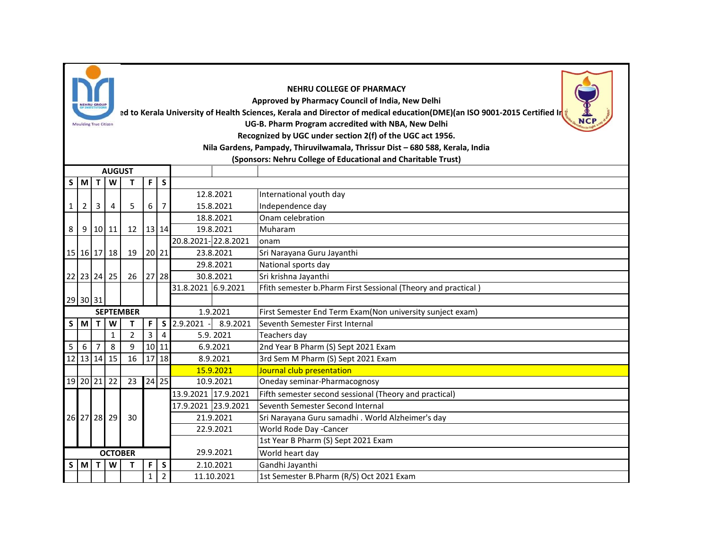|                |                                                                               |                       |                |                  |                |                |                     |            | <b>NEHRU COLLEGE OF PHARMACY</b><br>Approved by Pharmacy Council of India, New Delhi<br>ad to Kerala University of Health Sciences, Kerala and Director of medical education(DME)(an ISO 9001-2015 Certified In |  |  |  |
|----------------|-------------------------------------------------------------------------------|-----------------------|----------------|------------------|----------------|----------------|---------------------|------------|-----------------------------------------------------------------------------------------------------------------------------------------------------------------------------------------------------------------|--|--|--|
|                |                                                                               | Moulding True Citizen |                |                  |                |                |                     |            | UG-B. Pharm Program accredited with NBA, New Delhi                                                                                                                                                              |  |  |  |
|                | Recognized by UGC under section 2(f) of the UGC act 1956.                     |                       |                |                  |                |                |                     |            |                                                                                                                                                                                                                 |  |  |  |
|                | Nila Gardens, Pampady, Thiruvilwamala, Thrissur Dist - 680 588, Kerala, India |                       |                |                  |                |                |                     |            |                                                                                                                                                                                                                 |  |  |  |
|                | (Sponsors: Nehru College of Educational and Charitable Trust)                 |                       |                |                  |                |                |                     |            |                                                                                                                                                                                                                 |  |  |  |
|                |                                                                               |                       | <b>AUGUST</b>  |                  |                |                |                     |            |                                                                                                                                                                                                                 |  |  |  |
|                | $S$   M                                                                       | T                     | W              | T                | F.             | S              |                     |            |                                                                                                                                                                                                                 |  |  |  |
|                |                                                                               |                       |                |                  |                |                |                     | 12.8.2021  | International youth day                                                                                                                                                                                         |  |  |  |
| $1 \square$    | $\overline{2}$                                                                | 3                     | 4              | 5                | 6              | 7              |                     | 15.8.2021  | Independence day                                                                                                                                                                                                |  |  |  |
|                |                                                                               |                       |                |                  |                |                |                     | 18.8.2021  | Onam celebration                                                                                                                                                                                                |  |  |  |
| 8 <sup>1</sup> | 9                                                                             | $10$   11             |                | 12               | 13 14          |                |                     | 19.8.2021  | Muharam                                                                                                                                                                                                         |  |  |  |
|                |                                                                               |                       |                |                  |                |                | 20.8.2021-22.8.2021 |            | onam                                                                                                                                                                                                            |  |  |  |
|                |                                                                               |                       | 15 16 17 18    | 19               | 20 21          |                |                     | 23.8.2021  | Sri Narayana Guru Jayanthi                                                                                                                                                                                      |  |  |  |
|                |                                                                               |                       |                |                  |                |                | 29.8.2021           |            | National sports day                                                                                                                                                                                             |  |  |  |
|                |                                                                               | 22 23 24 25           |                | 26               |                | 27 28          | 30.8.2021           |            | Sri krishna Jayanthi                                                                                                                                                                                            |  |  |  |
|                |                                                                               |                       |                |                  |                |                | 31.8.2021 6.9.2021  |            | Ffith semester b.Pharm First Sessional (Theory and practical)                                                                                                                                                   |  |  |  |
|                | 29 30 31                                                                      |                       |                |                  |                |                |                     |            |                                                                                                                                                                                                                 |  |  |  |
|                |                                                                               |                       |                | <b>SEPTEMBER</b> |                |                |                     | 1.9.2021   | First Semester End Term Exam(Non university sunject exam)                                                                                                                                                       |  |  |  |
|                | $S$ M $T$                                                                     |                       | W              | Т                | F              | $\mathsf S$    | 2.9.2021            | 8.9.2021   | Seventh Semester First Internal                                                                                                                                                                                 |  |  |  |
|                |                                                                               |                       | $\mathbf{1}$   | $\overline{2}$   | $\overline{3}$ | $\overline{4}$ |                     | 5.9.2021   | Teachers day                                                                                                                                                                                                    |  |  |  |
| 5 <sup>1</sup> | 6                                                                             | $\overline{7}$        | 8              | 9                | $10$   11      |                |                     | 6.9.2021   | 2nd Year B Pharm (S) Sept 2021 Exam                                                                                                                                                                             |  |  |  |
|                | 12 13 14                                                                      |                       | 15             | 16               | 17             | 18             |                     | 8.9.2021   | 3rd Sem M Pharm (S) Sept 2021 Exam                                                                                                                                                                              |  |  |  |
|                |                                                                               |                       |                |                  |                |                |                     | 15.9.2021  | Journal club presentation                                                                                                                                                                                       |  |  |  |
|                |                                                                               | 19 20 21              | 22             | 23               |                | 24 25          |                     | 10.9.2021  | Oneday seminar-Pharmacognosy                                                                                                                                                                                    |  |  |  |
|                |                                                                               |                       |                |                  |                |                | 13.9.2021 17.9.2021 |            | Fifth semester second sessional (Theory and practical)                                                                                                                                                          |  |  |  |
|                |                                                                               |                       |                |                  |                |                | 17.9.2021 23.9.2021 |            | Seventh Semester Second Internal                                                                                                                                                                                |  |  |  |
|                |                                                                               |                       | 26 27 28 29    | 30               |                |                | 21.9.2021           |            | Sri Narayana Guru samadhi . World Alzheimer's day                                                                                                                                                               |  |  |  |
|                |                                                                               |                       |                |                  |                |                |                     | 22.9.2021  | World Rode Day -Cancer                                                                                                                                                                                          |  |  |  |
|                |                                                                               |                       |                |                  |                |                |                     |            | 1st Year B Pharm (S) Sept 2021 Exam                                                                                                                                                                             |  |  |  |
|                |                                                                               |                       | <b>OCTOBER</b> |                  |                |                | 29.9.2021           |            | World heart day                                                                                                                                                                                                 |  |  |  |
|                | $S$ M                                                                         | т                     | W              | Т                | F              | S              | 2.10.2021           |            | Gandhi Jayanthi                                                                                                                                                                                                 |  |  |  |
|                |                                                                               |                       |                |                  | $\mathbf{1}$   | $\overline{2}$ |                     | 11.10.2021 | 1st Semester B.Pharm (R/S) Oct 2021 Exam                                                                                                                                                                        |  |  |  |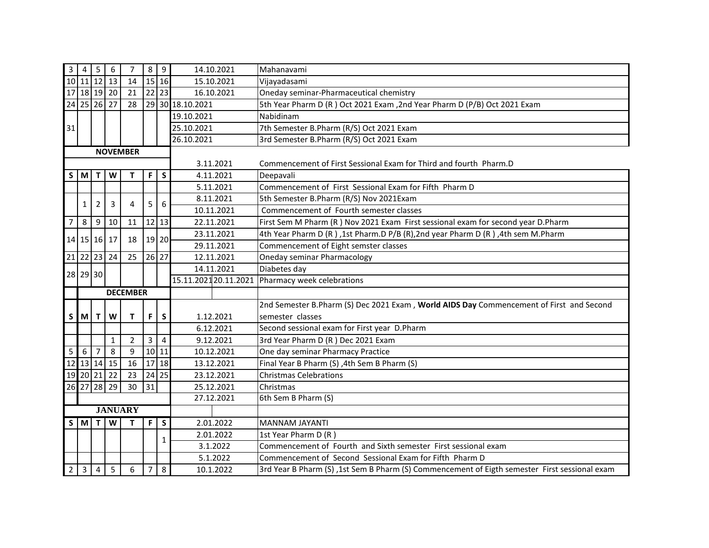| $\overline{3}$ | $\overline{4}$  | 5                | 6              | $\overline{7}$  | 8               | 9              | 14.10.2021            | Mahanavami                                                                                    |
|----------------|-----------------|------------------|----------------|-----------------|-----------------|----------------|-----------------------|-----------------------------------------------------------------------------------------------|
|                |                 | 10 11 12 13      |                | 14              |                 | 15 16          | 15.10.2021            | Vijayadasami                                                                                  |
|                |                 | 17 18 19 20      |                | 21              | $\overline{22}$ | 23             | 16.10.2021            | Oneday seminar-Pharmaceutical chemistry                                                       |
|                |                 | 24 25 26 27      |                | 28              |                 |                | 29 30 18.10.2021      | 5th Year Pharm D (R) Oct 2021 Exam, 2nd Year Pharm D (P/B) Oct 2021 Exam                      |
|                |                 |                  |                |                 |                 |                | 19.10.2021            | Nabidinam                                                                                     |
| 31             |                 |                  |                |                 |                 |                | 25.10.2021            | 7th Semester B.Pharm (R/S) Oct 2021 Exam                                                      |
|                |                 |                  |                |                 |                 |                | 26.10.2021            | 3rd Semester B.Pharm (R/S) Oct 2021 Exam                                                      |
|                |                 |                  |                | <b>NOVEMBER</b> |                 |                |                       |                                                                                               |
|                |                 |                  |                |                 |                 |                | 3.11.2021             | Commencement of First Sessional Exam for Third and fourth Pharm.D                             |
|                | S M             | $\mathbf{T}$     | W              | т               | F.              | $\mathsf S$    | 4.11.2021             | Deepavali                                                                                     |
|                |                 |                  |                |                 |                 |                | 5.11.2021             | Commencement of First Sessional Exam for Fifth Pharm D                                        |
|                |                 |                  | 3              | 4               | 5               |                | 8.11.2021             | 5th Semester B.Pharm (R/S) Nov 2021Exam                                                       |
|                | 1               | $\overline{2}$   |                |                 |                 | 6              | 10.11.2021            | Commencement of Fourth semester classes                                                       |
| 7              | 8 <sup>1</sup>  | $\boldsymbol{9}$ | 10             | 11              | $12 \mid 13$    |                | 22.11.2021            | First Sem M Pharm (R) Nov 2021 Exam First sessional exam for second year D.Pharm              |
|                |                 |                  |                | 18              |                 | 19 20          | 23.11.2021            | 4th Year Pharm D (R),1st Pharm.D P/B (R),2nd year Pharm D (R),4th sem M.Pharm                 |
|                |                 | 14 15 16 17      |                |                 |                 |                | 29.11.2021            | Commencement of Eight semster classes                                                         |
|                |                 | 21 22 23 24      |                | 25              | 26 27           |                | 12.11.2021            | Oneday seminar Pharmacology                                                                   |
|                | 28 29 30        |                  |                |                 |                 |                | 14.11.2021            | Diabetes day                                                                                  |
|                |                 |                  |                |                 |                 |                | 15.11.2021 20.11.2021 | Pharmacy week celebrations                                                                    |
|                | <b>DECEMBER</b> |                  |                |                 |                 |                |                       |                                                                                               |
|                |                 |                  |                |                 |                 |                |                       | 2nd Semester B.Pharm (S) Dec 2021 Exam, World AIDS Day Commencement of First and Second       |
| $\mathsf{s}$   | $M$ T           |                  | W              | T               | F.              | $\mathsf{s}$   | 1.12.2021             | semester classes                                                                              |
|                |                 |                  |                |                 |                 |                | 6.12.2021             | Second sessional exam for First year D.Pharm                                                  |
|                |                 |                  | $\mathbf{1}$   | $\overline{2}$  | $\mathbf{3}$    | $\overline{4}$ | 9.12.2021             | 3rd Year Pharm D (R) Dec 2021 Exam                                                            |
| 5              | 6               | $\overline{7}$   | 8              | 9               | $10$   11       |                | 10.12.2021            | One day seminar Pharmacy Practice                                                             |
|                |                 | 12 13 14 15      |                | 16              | 17              | 18             | 13.12.2021            | Final Year B Pharm (S), 4th Sem B Pharm (S)                                                   |
|                |                 | 19 20 21 22      |                | $\overline{23}$ |                 | $24$ 25        | 23.12.2021            | <b>Christmas Celebrations</b>                                                                 |
|                |                 |                  | 26 27 28 29    | $\overline{30}$ | 31              |                | 25.12.2021            | Christmas                                                                                     |
|                |                 |                  |                |                 |                 |                | 27.12.2021            | 6th Sem B Pharm (S)                                                                           |
| <b>JANUARY</b> |                 |                  |                |                 |                 |                |                       |                                                                                               |
|                |                 | $S$ M $T$ W      |                | т               | F.              | S              | 2.01.2022             | <b>MANNAM JAYANTI</b>                                                                         |
|                |                 |                  |                |                 |                 |                | 2.01.2022             | 1st Year Pharm D (R)                                                                          |
|                |                 |                  |                |                 |                 | 1              | 3.1.2022              | Commencement of Fourth and Sixth semester First sessional exam                                |
|                |                 |                  |                |                 |                 |                | 5.1.2022              | Commencement of Second Sessional Exam for Fifth Pharm D                                       |
| $\overline{2}$ | 3 <sup>1</sup>  | $\overline{4}$   | $\overline{5}$ | 6               | $\overline{7}$  | 8              | 10.1.2022             | 3rd Year B Pharm (S) ,1st Sem B Pharm (S) Commencement of Eigth semester First sessional exam |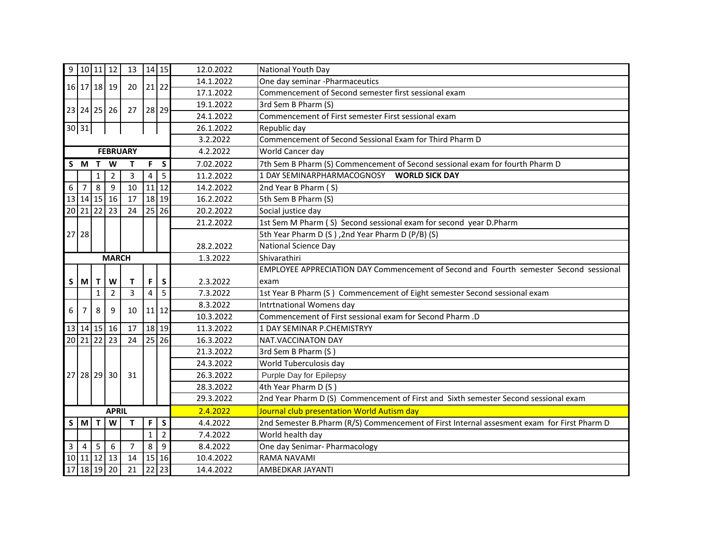|                |             |              | 9 10 11 12                   | 13              |                | $14 15$                   | 12.0.2022                                            | National Youth Day                                                                         |
|----------------|-------------|--------------|------------------------------|-----------------|----------------|---------------------------|------------------------------------------------------|--------------------------------------------------------------------------------------------|
|                |             |              |                              | 20              |                |                           | 14.1.2022                                            | One day seminar -Pharmaceutics                                                             |
|                |             | 16 17 18 19  |                              | 21 22           |                | 17.1.2022                 | Commencement of Second semester first sessional exam |                                                                                            |
|                |             |              | 23 24 25 26                  | 27              |                | 28 29                     | 19.1.2022                                            | 3rd Sem B Pharm (S)                                                                        |
|                |             |              |                              |                 |                |                           | 24.1.2022                                            | Commencement of First semester First sessional exam                                        |
|                | $30 31 $    |              |                              |                 |                |                           | 26.1.2022                                            | Republic day                                                                               |
|                |             |              |                              |                 |                |                           | 3.2.2022                                             | Commencement of Second Sessional Exam for Third Pharm D                                    |
|                |             |              |                              | <b>FEBRUARY</b> |                |                           | 4.2.2022                                             | World Cancer day                                                                           |
|                | S M T W     |              |                              | т               | F.             | S                         | 7.02.2022                                            | 7th Sem B Pharm (S) Commencement of Second sessional exam for fourth Pharm D               |
|                |             | $\mathbf{1}$ | $\overline{2}$               | $\overline{3}$  | $\overline{4}$ | 5                         | 11.2.2022                                            |                                                                                            |
| 6              | 7           | 8            | 9                            | $\overline{10}$ |                | $11$ 12                   | 14.2.2022                                            | 2nd Year B Pharm (S)                                                                       |
|                | 13 14 15 16 |              |                              | 17              |                | 18 19                     | 16.2.2022                                            | 5th Sem B Pharm (S)                                                                        |
|                | 20 21 22 23 |              |                              | 24              |                | 25 26                     | 20.2.2022                                            | Social justice day                                                                         |
|                |             |              |                              |                 |                |                           | 21.2.2022                                            | 1st Sem M Pharm (S) Second sessional exam for second year D.Pharm                          |
|                | $27$ 28     |              |                              |                 |                |                           |                                                      | 5th Year Pharm D (S), 2nd Year Pharm D (P/B) (S)                                           |
|                |             |              |                              |                 |                |                           | 28.2.2022                                            | National Science Day                                                                       |
|                |             |              | <b>MARCH</b>                 |                 |                |                           | 1.3.2022                                             | Shivarathiri                                                                               |
|                |             |              |                              |                 |                |                           |                                                      | EMPLOYEE APPRECIATION DAY Commencement of Second and Fourth semester Second sessional      |
|                | $S$ M T W   |              |                              | $\mathbf T$     | F.             | $\boldsymbol{\mathsf{S}}$ | 2.3.2022                                             | exam                                                                                       |
|                |             | $\mathbf{1}$ | $\overline{2}$               | $\overline{3}$  | $\overline{4}$ | $\overline{5}$            | 7.3.2022                                             | 1st Year B Pharm (S) Commencement of Eight semester Second sessional exam                  |
|                | 6<br>7      | 8            | 9                            | 10              | 11 12          |                           | 8.3.2022                                             | Intrtnational Womens day                                                                   |
|                |             |              |                              |                 |                |                           | 10.3.2022                                            | Commencement of First sessional exam for Second Pharm .D                                   |
|                |             |              | 13 14 15 16                  | 17              |                | 18 19                     | 11.3.2022                                            | 1 DAY SEMINAR P.CHEMISTRYY                                                                 |
|                | 20 21 22 23 |              |                              | 24              |                | 25 26                     | 16.3.2022                                            | NAT.VACCINATON DAY                                                                         |
|                |             |              |                              |                 |                |                           | 21.3.2022                                            | 3rd Sem B Pharm (S)                                                                        |
|                |             |              | 27 28 29 30                  |                 |                |                           | 24.3.2022                                            | World Tuberculosis day                                                                     |
|                |             |              |                              | 31              |                |                           | 26.3.2022                                            | Purple Day for Epilepsy                                                                    |
|                |             |              |                              |                 |                |                           | 28.3.2022                                            | 4th Year Pharm D (S)                                                                       |
|                |             |              |                              |                 |                |                           | 29.3.2022                                            | 2nd Year Pharm D (S) Commencement of First and Sixth semester Second sessional exam        |
|                |             |              | <b>APRIL</b>                 |                 |                |                           | 2.4.2022                                             | Journal club presentation World Autism day                                                 |
|                | SMTW        |              |                              | T               | F.             | $\mathsf{s}$              | 4.4.2022                                             | 2nd Semester B.Pharm (R/S) Commencement of First Internal assesment exam for First Pharm D |
|                |             |              |                              |                 | $\mathbf{1}$   | $\overline{2}$            | 7.4.2022                                             | World health day                                                                           |
| 3 <sup>1</sup> |             | $4 \mid 5$   | 6                            | $\overline{7}$  | 8              | $\overline{9}$            | 8.4.2022                                             | One day Senimar- Pharmacology                                                              |
|                |             |              | $10 \mid 11 \mid 12 \mid 13$ | 14              |                | 15 16                     | 10.4.2022                                            | <b>RAMA NAVAMI</b>                                                                         |
|                | 17 18 19 20 |              |                              | $\overline{21}$ |                | 22 23                     | 14.4.2022                                            | AMBEDKAR JAYANTI                                                                           |